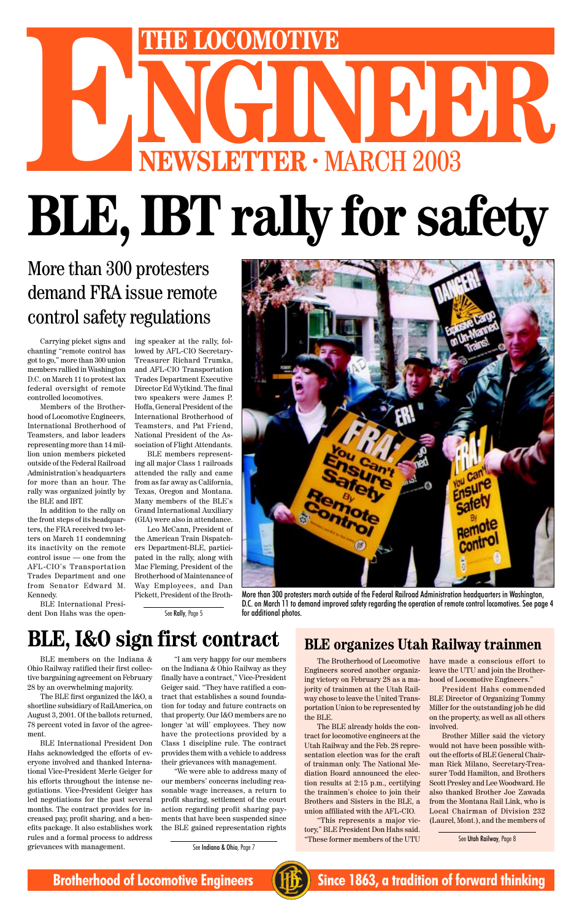# THE LOCOMOTIVE<br>
NEWSLETTER · MARCH 2003 **ENEWSLETTER · MARCH 2003 BLE, IBT rally for safety**

Carrying picket signs and chanting "remote control has got to go," more than 300 union members rallied in Washington D.C. on March 11 to protest lax federal oversight of remote controlled locomotives.

Members of the Brotherhood of Locomotive Engineers, International Brotherhood of Teamsters, and labor leaders representing more than 14 million union members picketed outside of the Federal Railroad Administration's headquarters for more than an hour. The rally was organized jointly by the BLE and IBT.

In addition to the rally on the front steps of its headquarters, the FRA received two letters on March 11 condemning its inactivity on the remote control issue — one from the AFL-CIO's Transportation Trades Department and one from Senator Edward M. Kennedy.



More than 300 protesters march outside of the Federal Railroad Administration headquarters in Washington, D.C. on March 11 to demand improved safety regarding the operation of remote control locomotives. See page 4 See Rally, Page 5 for additional photos.

## **BLE, I&O sign first contract** BLE organizes Utah Railway trainmen

BLE International President Don Hahs was the opening speaker at the rally, followed by AFL-CIO Secretary-Treasurer Richard Trumka, and AFL-CIO Transportation Trades Department Executive Director Ed Wytkind. The final two speakers were James P. Hoffa, General President of the International Brotherhood of Teamsters, and Pat Friend, National President of the Association of Flight Attendants.

BLE members representing all major Class 1 railroads attended the rally and came from as far away as California, Texas, Oregon and Montana. Many members of the BLE's Grand International Auxiliary (GIA) were also in attendance.

Leo McCann, President of the American Train Dispatchers Department-BLE, participated in the rally, along with Mac Fleming, President of the Brotherhood of Maintenance of Way Employees, and Dan Pickett, President of the Broth-

## More than 300 protesters demand FRA issue remote control safety regulations

ing victory on February 28 as a majority of trainmen at the Utah Railway chose to leave the United Transportation Union to be represented by the BLE.

The Brotherhood of Locomotive have made a conscious effort to

Engineers scored another organiz-leave the UTU and join the Brother-

The BLE already holds the contract for locomotive engineers at the Utah Railway and the Feb. 28 representation election was for the craft of trainman only. The National Mediation Board announced the election results at 2:15 p.m., certifying the trainmen's choice to join their Brothers and Sisters in the BLE, a union affiliated with the AFL-CIO.

"This represents a major victory," BLE President Don Hahs said. "These former members of the UTU

hood of Locomotive Engineers."

President Hahs commended BLE Director of Organizing Tommy Miller for the outstanding job he did on the property, as well as all others involved.

Brother Miller said the victory would not have been possible without the efforts of BLE General Chairman Rick Milano, Secretary-Treasurer Todd Hamilton, and Brothers Scott Presley and Lee Woodward. He also thanked Brother Joe Zawada from the Montana Rail Link, who is Local Chairman of Division 232 (Laurel, Mont.), and the members of

See Utah Railway, Page 8



**Brotherhood of Locomotive Engineers (FE)** Since 1863, a tradition of forward thinking

BLE members on the Indiana & tive bargaining agreement on February 28 by an overwhelming majority.

The BLE first organized the I&O, a shortline subsidiary of RailAmerica, on August 3, 2001. Of the ballots returned, 78 percent voted in favor of the agreement.

BLE International President Don Hahs acknowledged the efforts of everyone involved and thanked International Vice-President Merle Geiger for his efforts throughout the intense negotiations. Vice-President Geiger has led negotiations for the past several months. The contract provides for increased pay, profit sharing, and a benefits package. It also establishes work rules and a formal process to address grievances with management.

Ohio Railway ratified their first collec-on the Indiana & Ohio Railway as they "I am very happy for our members finally have a contract," Vice-President Geiger said. "They have ratified a contract that establishes a sound foundation for today and future contracts on that property. Our I&O members are no longer 'at will' employees. They now have the protections provided by a Class 1 discipline rule. The contract provides them with a vehicle to address their grievances with management.

"We were able to address many of our members' concerns including reasonable wage increases, a return to profit sharing, settlement of the court action regarding profit sharing payments that have been suspended since the BLE gained representation rights

See Indiana & Ohio, Page 7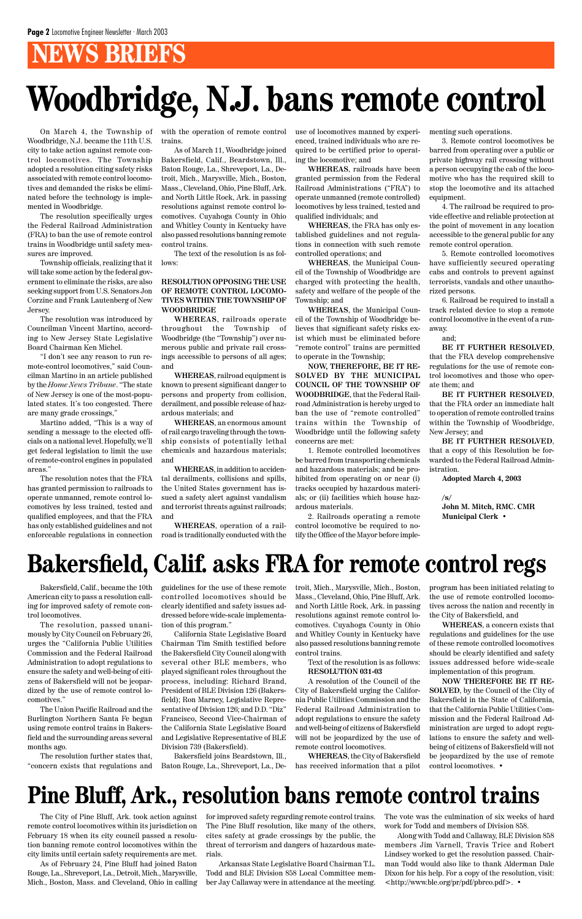## **NEWS BRIEFS**

On March 4, the Township of Woodbridge, N.J. became the 11th U.S. city to take action against remote control locomotives. The Township adopted a resolution citing safety risks associated with remote control locomotives and demanded the risks be eliminated before the technology is implemented in Woodbridge.

The resolution specifically urges the Federal Railroad Administration (FRA) to ban the use of remote control trains in Woodbridge until safety measures are improved.

Township officials, realizing that it will take some action by the federal government to eliminate the risks, are also seeking support from U.S. Senators Jon Corzine and Frank Lautenberg of New Jersey.

The resolution was introduced by Councilman Vincent Martino, according to New Jersey State Legislative Board Chairman Ken Michel.

"I don't see any reason to run remote-control locomotives," said Councilman Martino in an article published by the *Home News Tribune*. "The state of New Jersey is one of the most-populated states. It's too congested. There are many grade crossings,"

Martino added, "This is a way of sending a message to the elected officials on a national level. Hopefully, we'll get federal legislation to limit the use of remote-control engines in populated areas."

The resolution notes that the FRA has granted permission to railroads to operate unmanned, remote control locomotives by less trained, tested and qualified employees, and that the FRA has only established guidelines and not enforceable regulations in connection

with the operation of remote control trains.

As of March 11, Woodbridge joined Bakersfield, Calif., Beardstown, Ill., Baton Rouge, La., Shreveport, La., Detroit, Mich., Marysville, Mich., Boston, Mass., Cleveland, Ohio, Pine Bluff, Ark. and North Little Rock, Ark. in passing resolutions against remote control locomotives. Cuyahoga County in Ohio and Whitley County in Kentucky have also passed resolutions banning remote control trains.

The text of the resolution is as follows:

### **RESOLUTION OPPOSING THE USE OF REMOTE CONTROL LOCOMO-TIVES WITHIN THE TOWNSHIP OF WOODBRIDGE**

**WHEREAS**, railroads operate throughout the Township of Woodbridge (the "Township") over numerous public and private rail crossings accessible to persons of all ages; and

**WHEREAS**, railroad equipment is known to present significant danger to persons and property from collision, derailment, and possible release of hazardous materials; and

**WHEREAS**, an enormous amount of rail cargo traveling through the township consists of potentially lethal chemicals and hazardous materials; and

**WHEREAS**, in addition to accidental derailments, collisions and spills, the United States government has issued a safety alert against vandalism and terrorist threats against railroads; and

**WHEREAS**, operation of a railroad is traditionally conducted with the use of locomotives manned by experienced, trained individuals who are required to be certified prior to operating the locomotive; and

**WHEREAS**, railroads have been granted permission from the Federal Railroad Administrations ("FRA") to operate unmanned (remote controlled) locomotives by less trained, tested and qualified individuals; and

**WHEREAS**, the FRA has only established guidelines and not regulations in connection with such remote controlled operations; and

**WHEREAS**, the Municipal Council of the Township of Woodbridge are charged with protecting the health, safety and welfare of the people of the Township; and

**WHEREAS**, the Municipal Council of the Township of Woodbridge believes that significant safety risks exist which must be eliminated before "remote control" trains are permitted to operate in the Township;

**NOW, THEREFORE, BE IT RE-SOLVED BY THE MUNICIPAL COUNCIL OF THE TOWNSHIP OF WOODBRIDGE**, that the Federal Railroad Administration is hereby urged to ban the use of "remote controlled" trains within the Township of Woodbridge until the following safety concerns are met:

1. Remote controlled locomotives be barred from transporting chemicals and hazardous materials; and be prohibited from operating on or near (i) tracks occupied by hazardous materials; or (ii) facilities which house hazardous materials.

2. Railroads operating a remote control locomotive be required to notify the Office of the Mayor before implementing such operations.

3. Remote control locomotives be barred from operating over a public or private highway rail crossing without a person occupying the cab of the locomotive who has the required skill to stop the locomotive and its attached equipment.

4. The railroad be required to provide effective and reliable protection at the point of movement in any location accessible to the general public for any remote control operation.

5. Remote controlled locomotives have sufficiently secured operating cabs and controls to prevent against terrorists, vandals and other unauthorized persons.

6. Railroad be required to install a track related device to stop a remote control locomotive in the event of a runaway.

and;

**BE IT FURTHER RESOLVED**, that the FRA develop comprehensive regulations for the use of remote control locomotives and those who operate them; and

**BE IT FURTHER RESOLVED**, that the FRA order an immediate halt to operation of remote controlled trains within the Township of Woodbridge, New Jersey; and

**BE IT FURTHER RESOLVED**, that a copy of this Resolution be forwarded to the Federal Railroad Administration.

**Adopted March 4, 2003**

**/s/**

**John M. Mitch, RMC. CMR Municipal Clerk** •

## **Woodbridge, N.J. bans remote control**

## **Bakersfield, Calif. asks FRA for remote control regs**

Bakersfield, Calif., became the 10th American city to pass a resolution calling for improved safety of remote control locomotives.

The resolution, passed unanimously by City Council on February 26, urges the "California Public Utilities Commission and the Federal Railroad Administration to adopt regulations to ensure the safety and well-being of citizens of Bakersfield will not be jeopardized by the use of remote control locomotives." The Union Pacific Railroad and the Burlington Northern Santa Fe began using remote control trains in Bakersfield and the surrounding areas several months ago.

The resolution further states that, "concern exists that regulations and guidelines for the use of these remote controlled locomotives should be clearly identified and safety issues addressed before wide-scale implementation of this program."

California State Legislative Board Chairman Tim Smith testified before the Bakersfield City Council along with several other BLE members, who played significant roles throughout the process, including: Richard Brand, President of BLE Division 126 (Bakersfield); Ron Marney, Legislative Representative of Division 126; and D.D. "Diz" Francisco, Second Vice-Chairman of the California State Legislative Board and Legislative Representative of BLE Division 739 (Bakersfield).

Bakersfield joins Beardstown, Ill., Baton Rouge, La., Shreveport, La., Detroit, Mich., Marysville, Mich., Boston, Mass., Cleveland, Ohio, Pine Bluff, Ark. and North Little Rock, Ark. in passing resolutions against remote control locomotives. Cuyahoga County in Ohio and Whitley County in Kentucky have also passed resolutions banning remote control trains.

Text of the resolution is as follows: **RESOLUTION 031-03**

A resolution of the Council of the City of Bakersfield urging the California Public Utilities Commission and the Federal Railroad Administration to adopt regulations to ensure the safety and well-being of citizens of Bakersfield will not be jeopardized by the use of remote control locomotives.

**WHEREAS**, the City of Bakersfield has received information that a pilot program has been initiated relating to the use of remote controlled locomotives across the nation and recently in the City of Bakersfield, and

**WHEREAS**, a concern exists that regulations and guidelines for the use of these remote controlled locomotives should be clearly identified and safety issues addressed before wide-scale implementation of this program. **NOW THEREFORE BE IT RE-SOLVED**, by the Council of the City of Bakersfield in the State of California, that the California Public Utilities Commission and the Federal Railroad Administration are urged to adopt regulations to ensure the safety and wellbeing of citizens of Bakersfield will not be jeopardized by the use of remote control locomotives. •

## **Pine Bluff, Ark., resolution bans remote control trains**

The City of Pine Bluff, Ark. took action against remote control locomotives within its jurisdiction on February 18 when its city council passed a resolution banning remote control locomotives within the city limits until certain safety requirements are met.

As of February 24, Pine Bluff had joined Baton Rouge, La., Shreveport, La., Detroit, Mich., Marysville, Mich., Boston, Mass. and Cleveland, Ohio in calling for improved safety regarding remote control trains. The Pine Bluff resolution, like many of the others, cites safety at grade crossings by the public, the threat of terrorism and dangers of hazardous materials.

Arkansas State Legislative Board Chairman T.L. Todd and BLE Division 858 Local Committee member Jay Callaway were in attendance at the meeting.

The vote was the culmination of six weeks of hard work for Todd and members of Division 858.

Along with Todd and Callaway, BLE Division 858 members Jim Varnell, Travis Trice and Robert Lindsey worked to get the resolution passed. Chairman Todd would also like to thank Alderman Dale Dixon for his help. For a copy of the resolution, visit: <http://www.ble.org/pr/pdf/pbrco.pdf>. •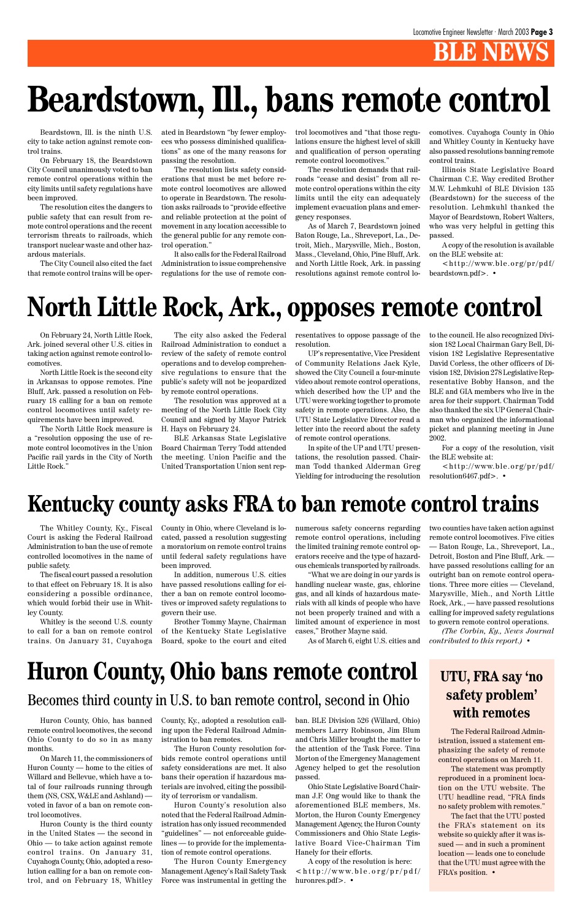## **BLE NEW**

Beardstown, Ill. is the ninth U.S. city to take action against remote control trains.

On February 18, the Beardstown City Council unanimously voted to ban remote control operations within the city limits until safety regulations have been improved.

The resolution cites the dangers to public safety that can result from remote control operations and the recent terrorism threats to railroads, which transport nuclear waste and other hazardous materials.

The City Council also cited the fact that remote control trains will be oper-

The Whitley County, Ky., Fiscal Court is asking the Federal Railroad Administration to ban the use of remote controlled locomotives in the name of public safety.

The fiscal court passed a resolution to that effect on February 18. It is also considering a possible ordinance, which would forbid their use in Whitley County.

Whitley is the second U.S. county to call for a ban on remote control trains. On January 31, Cuyahoga

On February 24, North Little Rock, Ark. joined several other U.S. cities in taking action against remote control locomotives.

North Little Rock is the second city in Arkansas to oppose remotes. Pine Bluff, Ark. passed a resolution on February 18 calling for a ban on remote control locomotives until safety requirements have been improved.

The North Little Rock measure is a "resolution opposing the use of remote control locomotives in the Union Pacific rail yards in the City of North Little Rock."

 $\langle$ http://www.ble.org/pr/pdf/ beardstown.pdf>. •

ated in Beardstown "by fewer employees who possess diminished qualifications" as one of the many reasons for passing the resolution.

The resolution lists safety considerations that must be met before remote control locomotives are allowed to operate in Beardstown. The resolution asks railroads to "provide effective and reliable protection at the point of movement in any location accessible to the general public for any remote control operation."

It also calls for the Federal Railroad Administration to issue comprehensive regulations for the use of remote control locomotives and "that those regulations ensure the highest level of skill and qualification of person operating remote control locomotives."

The resolution demands that railroads "cease and desist" from all remote control operations within the city limits until the city can adequately implement evacuation plans and emergency responses.

> $\langle$ http://www.ble.org/pr/pdf/ resolution6467.pdf>. •

As of March 7, Beardstown joined Baton Rouge, La., Shreveport, La., Detroit, Mich., Marysville, Mich., Boston, Mass., Cleveland, Ohio, Pine Bluff, Ark. and North Little Rock, Ark. in passing resolutions against remote control locomotives. Cuyahoga County in Ohio and Whitley County in Kentucky have also passed resolutions banning remote control trains.

Illinois State Legislative Board Chairman C.E. Way credited Brother M.W. Lehmkuhl of BLE Division 135 (Beardstown) for the success of the resolution. Lehmkuhl thanked the Mayor of Beardstown, Robert Walters, who was very helpful in getting this passed.

A copy of the resolution is available on the BLE website at:

## **Beardstown, Ill., bans remote control**

The city also asked the Federal Railroad Administration to conduct a review of the safety of remote control operations and to develop comprehensive regulations to ensure that the public's safety will not be jeopardized by remote control operations.

The resolution was approved at a meeting of the North Little Rock City Council and signed by Mayor Patrick H. Hays on February 24.

BLE Arkansas State Legislative Board Chairman Terry Todd attended the meeting. Union Pacific and the United Transportation Union sent rep-

## **North Little Rock, Ark., opposes remote control**

resentatives to oppose passage of the resolution.

UP's representative, Vice President of Community Relations Jack Kyle, showed the City Council a four-minute video about remote control operations, which described how the UP and the UTU were working together to promote safety in remote operations. Also, the UTU State Legislative Director read a letter into the record about the safety of remote control operations.

In spite of the UP and UTU presentations, the resolution passed. Chairman Todd thanked Alderman Greg Yielding for introducing the resolution to the council. He also recognized Division 182 Local Chairman Gary Bell, Division 182 Legislative Representative David Corless, the other officers of Division 182, Division 278 Legislative Representative Bobby Hanson, and the BLE and GIA members who live in the area for their support. Chairman Todd also thanked the six UP General Chairman who organized the informational picket and planning meeting in June 2002.

For a copy of the resolution, visit the BLE website at:

## **Kentucky county asks FRA to ban remote control trains**

County in Ohio, where Cleveland is located, passed a resolution suggesting a moratorium on remote control trains until federal safety regulations have been improved.

In addition, numerous U.S. cities have passed resolutions calling for either a ban on remote control locomotives or improved safety regulations to govern their use.

Brother Tommy Mayne, Chairman of the Kentucky State Legislative Board, spoke to the court and cited numerous safety concerns regarding remote control operations, including the limited training remote control operators receive and the type of hazardous chemicals transported by railroads.

"What we are doing in our yards is handling nuclear waste, gas, chlorine gas, and all kinds of hazardous materials with all kinds of people who have not been properly trained and with a limited amount of experience in most cases," Brother Mayne said.

two counties have taken action against remote control locomotives. Five cities — Baton Rouge, La., Shreveport, La., Detroit, Boston and Pine Bluff, Ark. have passed resolutions calling for an outright ban on remote control operations. Three more cities — Cleveland, Marysville, Mich., and North Little Rock, Ark., — have passed resolutions calling for improved safety regulations to govern remote control operations.

As of March 6, eight U.S. cities and *contributed to this report.)* •

*(The Corbin, Ky., News Journal*

## Huron County, Ohio bans remote control UTU, FRA say 'no

Huron County, Ohio, has banned remote control locomotives, the second Ohio County to do so in as many months.

On March 11, the commissioners of Huron County — home to the cities of Willard and Bellevue, which have a total of four railroads running through them (NS, CSX, W&LE and Ashland) voted in favor of a ban on remote control locomotives.

Huron County is the third county in the United States — the second in Ohio — to take action against remote control trains. On January 31, Cuyahoga County, Ohio, adopted a resolution calling for a ban on remote control, and on February 18, Whitley County, Ky., adopted a resolution calling upon the Federal Railroad Administration to ban remotes.

The Huron County resolution forbids remote control operations until safety considerations are met. It also bans their operation if hazardous materials are involved, citing the possibility of terrorism or vandalism.

Huron County's resolution also noted that the Federal Railroad Administration has only issued recommended "guidelines" — not enforceable guidelines — to provide for the implementation of remote control operations.

The Huron County Emergency Management Agency's Rail Safety Task Force was instrumental in getting the ban. BLE Division 526 (Willard, Ohio) members Larry Robinson, Jim Blum and Chris Miller brought the matter to the attention of the Task Force. Tina Morton of the Emergency Management Agency helped to get the resolution passed.

Ohio State Legislative Board Chairman J.F. Ong would like to thank the aforementioned BLE members, Ms. Morton, the Huron County Emergency Management Agency, the Huron County Commissioners and Ohio State Legislative Board Vice-Chairman Tim Hanely for their efforts.

A copy of the resolution is here:  $\langle$ http://www.ble.org/pr/pdf/ huronres.pdf>. •

### **safety problem' with remotes**

The Federal Railroad Administration, issued a statement emphasizing the safety of remote control operations on March 11.

The statement was promptly reproduced in a prominent location on the UTU website. The UTU headline read, "FRA finds no safety problem with remotes."

The fact that the UTU posted the FRA's statement on its website so quickly after it was issued — and in such a prominent location — leads one to conclude that the UTU must agree with the FRA's position. •

### Becomes third county in U.S. to ban remote control, second in Ohio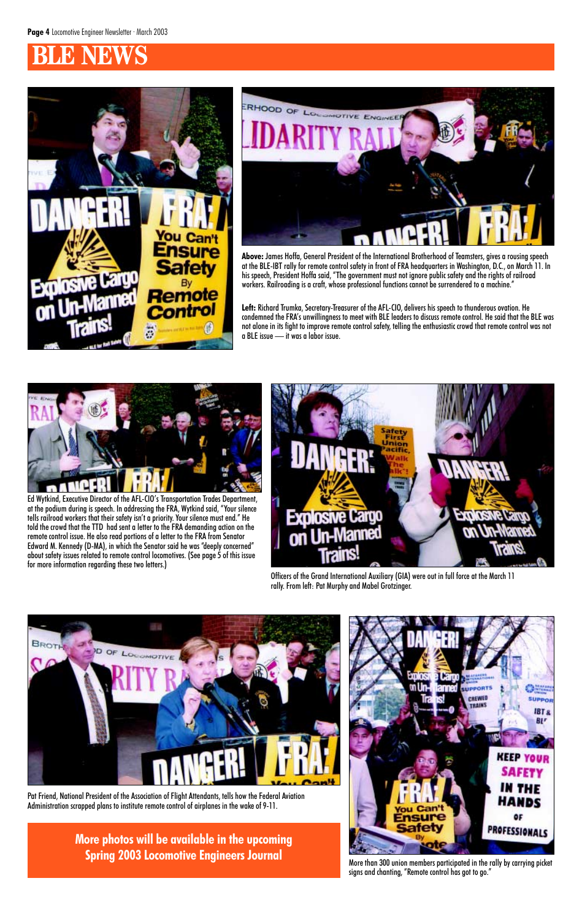## **BLE NEWS**





Officers of the Grand International Auxiliary (GIA) were out in full force at the March 11 rally. From left: Pat Murphy and Mabel Grotzinger.



**Above:** James Hoffa, General President of the International Brotherhood of Teamsters, gives a rousing speech at the BLE-IBT rally for remote control safety in front of FRA headquarters in Washington, D.C., on March 11. In his speech, President Hoffa said, "The government must not ignore public safety and the rights of railroad workers. Railroading is a craft, whose professional functions cannot be surrendered to a machine."

**Left:** Richard Trumka, Secretary-Treasurer of the AFL-CIO, delivers his speech to thunderous ovation. He condemned the FRA's unwillingness to meet with BLE leaders to discuss remote control. He said that the BLE was not alone in its fight to improve remote control safety, telling the enthusiastic crowd that remote control was not a BLE issue — it was a labor issue.



Ed Wytkind, Executive Director of the AFL-CIO's Transportation Trades Department, at the podium during is speech. In addressing the FRA, Wytkind said, "Your silence tells railroad workers that their safety isn't a priority. Your silence must end." He told the crowd that the TTD had sent a letter to the FRA demanding action on the remote control issue. He also read portions of a letter to the FRA from Senator Edward M. Kennedy (D-MA), in which the Senator said he was "deeply concerned" about safety issues related to remote control locomotives. (See page 5 of this issue for more information regarding these two letters.)



More than 300 union members participated in the rally by carrying picket signs and chanting, "Remote control has got to go."

**Spring 2003 Locomotive Engineers Journal**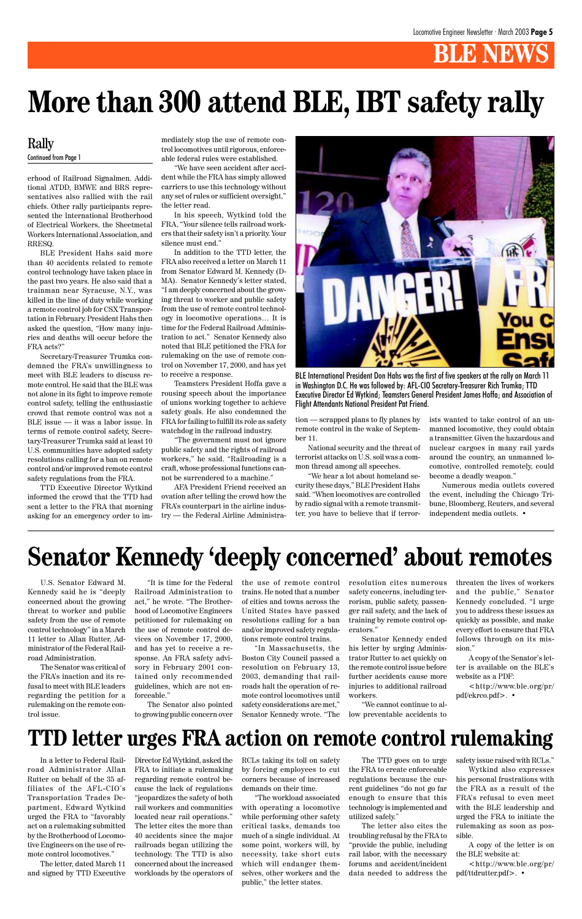## **BLE NEWS**

erhood of Railroad Signalmen. Addi-

tional ATDD, BMWE and BRS representatives also rallied with the rail chiefs. Other rally participants represented the International Brotherhood of Electrical Workers, the Sheetmetal Workers International Association, and RRESQ.

BLE President Hahs said more than 40 accidents related to remote control technology have taken place in the past two years. He also said that a trainman near Syracuse, N.Y., was killed in the line of duty while working a remote control job for CSX Transportation in February. President Hahs then asked the question, "How many injuries and deaths will occur before the FRA acts?"

Secretary-Treasurer Trumka condemned the FRA's unwillingness to meet with BLE leaders to discuss remote control. He said that the BLE was not alone in its fight to improve remote control safety, telling the enthusiastic crowd that remote control was not a BLE issue — it was a labor issue. In terms of remote control safety, Secretary-Treasurer Trumka said at least 10 U.S. communities have adopted safety resolutions calling for a ban on remote control and/or improved remote control safety regulations from the FRA.

TTD Executive Director Wytkind informed the crowd that the TTD had sent a letter to the FRA that morning asking for an emergency order to immediately stop the use of remote control locomotives until rigorous, enforceable federal rules were established.

"We have seen accident after accident while the FRA has simply allowed carriers to use this technology without any set of rules or sufficient oversight," the letter read.

In his speech, Wytkind told the FRA, "Your silence tells railroad workers that their safety isn't a priority. Your silence must end."

In addition to the TTD letter, the FRA also received a letter on March 11 from Senator Edward M. Kennedy (D-MA). Senator Kennedy's letter stated, "I am deeply concerned about the growing threat to worker and public safety from the use of remote control technology in locomotive operations… It is time for the Federal Railroad Administration to act." Senator Kennedy also noted that BLE petitioned the FRA for rulemaking on the use of remote control on November 17, 2000, and has yet to receive a response.

Teamsters President Hoffa gave a rousing speech about the importance of unions working together to achieve safety goals. He also condemned the FRA for failing to fulfill its role as safety watchdog in the railroad industry.

"The government must not ignore public safety and the rights of railroad workers," he said. "Railroading is a craft, whose professional functions cannot be surrendered to a machine."

AFA President Friend received an ovation after telling the crowd how the FRA's counterpart in the airline industry — the Federal Airline Administra-

### Rally Continued from Page 1

U.S. Senator Edward M. Kennedy said he is "deeply concerned about the growing threat to worker and public safety from the use of remote control technology" in a March 11 letter to Allan Rutter, Administrator of the Federal Railroad Administration.

The Senator was critical of the FRA's inaction and its refusal to meet with BLE leaders regarding the petition for a rulemaking on the remote control issue.

## **Senator Kennedy 'deeply concerned' about remotes**

In a letter to Federal Railroad Administrator Allan Rutter on behalf of the 35 affiliates of the AFL-CIO's Transportation Trades Department, Edward Wytkind urged the FRA to "favorably act on a rulemaking submitted by the Brotherhood of Locomotive Engineers on the use of remote control locomotives."

The letter, dated March 11 and signed by TTD Executive tion — scrapped plans to fly planes by remote control in the wake of September 11.

National security and the threat of terrorist attacks on U.S. soil was a common thread among all speeches.

"We hear a lot about homeland security these days," BLE President Hahs said. "When locomotives are controlled by radio signal with a remote transmitter, you have to believe that if terrorists wanted to take control of an unmanned locomotive, they could obtain a transmitter. Given the hazardous and nuclear cargoes in many rail yards around the country, an unmanned locomotive, controlled remotely, could become a deadly weapon."

Numerous media outlets covered the event, including the Chicago Tribune, Bloomberg, Reuters, and several independent media outlets. •

Director Ed Wytkind, asked the FRA to initiate a rulemaking regarding remote control because the lack of regulations "jeopardizes the safety of both rail workers and communities located near rail operations." The letter cites the more than 40 accidents since the major railroads began utilizing the technology. The TTD is also concerned about the increased workloads by the operators of

RCLs taking its toll on safety by forcing employees to cut corners because of increased demands on their time.

"The workload associated with operating a locomotive while performing other safety critical tasks, demands too much of a single individual. At some point, workers will, by necessity, take short cuts which will endanger themselves, other workers and the public," the letter states.

The TTD goes on to urge the FRA to create enforceable regulations because the current guidelines "do not go far enough to ensure that this technology is implemented and utilized safely."

The letter also cites the troubling refusal by the FRA to "provide the public, including rail labor, with the necessary forums and accident/incident data needed to address the safety issue raised with RCLs."

Wytkind also expresses his personal frustrations with the FRA as a result of the FRA's refusal to even meet with the BLE leadership and urged the FRA to initiate the rulemaking as soon as possible.

A copy of the letter is on the BLE website at:

<http://www.ble.org/pr/ pdf/ttdrutter.pdf>. •

## **TTD letter urges FRA action on remote control rulemaking**

"It is time for the Federal Railroad Administration to act," he wrote. "The Brotherhood of Locomotive Engineers petitioned for rulemaking on the use of remote control devices on November 17, 2000, and has yet to receive a response. An FRA safety advisory in February 2001 con-

tained only recommended guidelines, which are not enforceable."

The Senator also pointed to growing public concern over

the use of remote control trains. He noted that a number of cities and towns across the United States have passed resolutions calling for a ban and/or improved safety regulations remote control trains.

"In Massachusetts, the Boston City Council passed a resolution on February 13, 2003, demanding that railroads halt the operation of remote control locomotives until safety considerations are met," Senator Kennedy wrote. "The resolution cites numerous safety concerns, including terrorism, public safety, passenger rail safety, and the lack of training by remote control operators."

Senator Kennedy ended his letter by urging Administrator Rutter to act quickly on the remote control issue before further accidents cause more injuries to additional railroad workers.

"We cannot continue to allow preventable accidents to

threaten the lives of workers and the public," Senator Kennedy concluded. "I urge you to address these issues as quickly as possible, and make every effort to ensure that FRA follows through on its mission."

A copy of the Senator's letter is available on the BLE's

website as a PDF: <http://www.ble.org/pr/

pdf/ekrco.pdf>. •

## **More than 300 attend BLE, IBT safety rally**



BLE International President Don Hahs was the first of five speakers at the rally on March 11 in Washington D.C. He was followed by: AFL-CIO Secretary-Treasurer Rich Trumka; TTD Executive Director Ed Wytkind; Teamsters General President James Hoffa; and Association of Flight Attendants National President Pat Friend.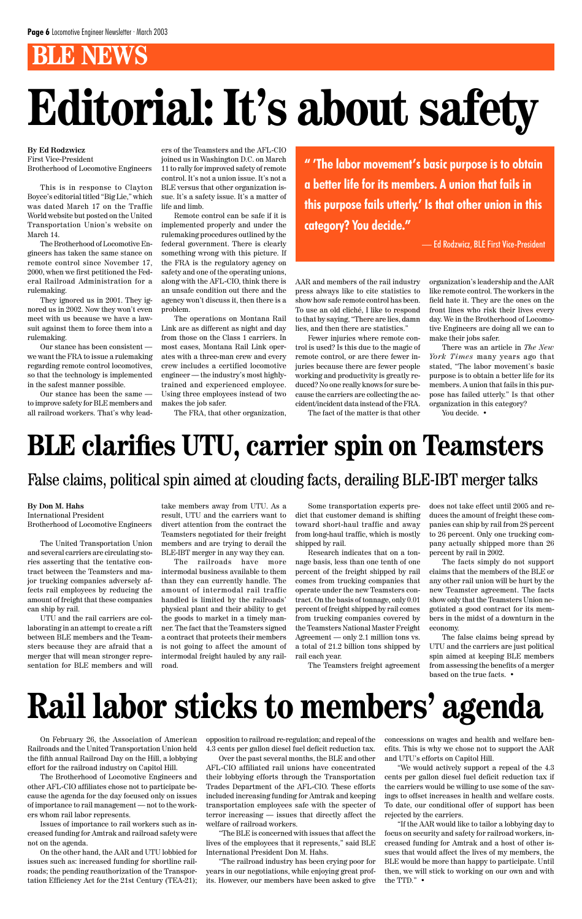## **BLE NEWS**

#### **By Ed Rodzwicz** First Vice-President Brotherhood of Locomotive Engineers

This is in response to Clayton Boyce's editorial titled "Big Lie," which was dated March 17 on the Traffic World website but posted on the United Transportation Union's website on March 14.

The Brotherhood of Locomotive Engineers has taken the same stance on remote control since November 17, 2000, when we first petitioned the Federal Railroad Administration for a rulemaking.

They ignored us in 2001. They ignored us in 2002. Now they won't even meet with us because we have a lawsuit against them to force them into a rulemaking.

Our stance has been consistent we want the FRA to issue a rulemaking regarding remote control locomotives, so that the technology is implemented in the safest manner possible.

Our stance has been the same to improve safety for BLE members and all railroad workers. That's why leaders of the Teamsters and the AFL-CIO joined us in Washington D.C. on March 11 to rally for improved safety of remote control. It's not a union issue. It's not a BLE versus that other organization issue. It's a safety issue. It's a matter of life and limb.

Remote control can be safe if it is implemented properly and under the rulemaking procedures outlined by the federal government. There is clearly something wrong with this picture. If the FRA is the regulatory agency on safety and one of the operating unions, along with the AFL-CIO, think there is an unsafe condition out there and the agency won't discuss it, then there is a problem.

The operations on Montana Rail Link are as different as night and day from those on the Class 1 carriers. In most cases, Montana Rail Link operates with a three-man crew and every crew includes a certified locomotive engineer — the industry's most highlytrained and experienced employee. Using three employees instead of two makes the job safer.

The FRA, that other organization,

AAR and members of the rail industry press always like to cite statistics to show how safe remote control has been. To use an old cliché, I like to respond to that by saying, "There are lies, damn lies, and then there are statistics."

Fewer injuries where remote control is used? Is this due to the magic of remote control, or are there fewer injuries because there are fewer people working and productivity is greatly reduced? No one really knows for sure because the carriers are collecting the accident/incident data instead of the FRA.

The fact of the matter is that other

organization's leadership and the AAR like remote control. The workers in the field hate it. They are the ones on the front lines who risk their lives every day. We in the Brotherhood of Locomotive Engineers are doing all we can to make their jobs safer.

There was an article in *The New York Times* many years ago that stated, "The labor movement's basic purpose is to obtain a better life for its members. A union that fails in this purpose has failed utterly." Is that other organization in this category?

You decide. •

## **Editorial: It's about safety**

### **By Don M. Hahs**

International President Brotherhood of Locomotive Engineers

The United Transportation Union and several carriers are circulating stories asserting that the tentative contract between the Teamsters and major trucking companies adversely affects rail employees by reducing the amount of freight that these companies can ship by rail.

UTU and the rail carriers are collaborating in an attempt to create a rift between BLE members and the Teamsters because they are afraid that a merger that will mean stronger representation for BLE members and will

take members away from UTU. As a result, UTU and the carriers want to divert attention from the contract the Teamsters negotiated for their freight members and are trying to derail the BLE-IBT merger in any way they can.

The railroads have more intermodal business available to them than they can currently handle. The amount of intermodal rail traffic handled is limited by the railroads' physical plant and their ability to get the goods to market in a timely manner. The fact that the Teamsters signed a contract that protects their members is not going to affect the amount of intermodal freight hauled by any railroad.

Some transportation experts predict that customer demand is shifting toward short-haul traffic and away from long-haul traffic, which is mostly shipped by rail.

Research indicates that on a tonnage basis, less than one tenth of one percent of the freight shipped by rail comes from trucking companies that operate under the new Teamsters contract. On the basis of tonnage, only 0.01 percent of freight shipped by rail comes from trucking companies covered by the Teamsters National Master Freight Agreement — only 2.1 million tons vs. a total of 21.2 billion tons shipped by rail each year.

The Teamsters freight agreement

does not take effect until 2005 and reduces the amount of freight these companies can ship by rail from 28 percent to 26 percent. Only one trucking company actually shipped more than 26 percent by rail in 2002.

The facts simply do not support claims that the members of the BLE or any other rail union will be hurt by the new Teamster agreement. The facts show only that the Teamsters Union negotiated a good contract for its members in the midst of a downturn in the economy.

The false claims being spread by UTU and the carriers are just political spin aimed at keeping BLE members from assessing the benefits of a merger based on the true facts. •

## **BLE clarifies UTU, carrier spin on Teamsters**

On February 26, the Association of American Railroads and the United Transportation Union held the fifth annual Railroad Day on the Hill, a lobbying effort for the railroad industry on Capitol Hill.

The Brotherhood of Locomotive Engineers and other AFL-CIO affiliates chose not to participate because the agenda for the day focused only on issues of importance to rail management — not to the workers whom rail labor represents.

Issues of importance to rail workers such as increased funding for Amtrak and railroad safety were not on the agenda.

On the other hand, the AAR and UTU lobbied for issues such as: increased funding for shortline railroads; the pending reauthorization of the Transportation Efficiency Act for the 21st Century (TEA-21); opposition to railroad re-regulation; and repeal of the 4.3 cents per gallon diesel fuel deficit reduction tax.

Over the past several months, the BLE and other AFL-CIO affiliated rail unions have concentrated their lobbying efforts through the Transportation Trades Department of the AFL-CIO. These efforts included increasing funding for Amtrak and keeping transportation employees safe with the specter of terror increasing — issues that directly affect the welfare of railroad workers.

"The BLE is concerned with issues that affect the lives of the employees that it represents," said BLE International President Don M. Hahs.

"The railroad industry has been crying poor for years in our negotiations, while enjoying great profits. However, our members have been asked to give concessions on wages and health and welfare benefits. This is why we chose not to support the AAR and UTU's efforts on Capitol Hill.

"We would actively support a repeal of the 4.3 cents per gallon diesel fuel deficit reduction tax if the carriers would be willing to use some of the savings to offset increases in health and welfare costs. To date, our conditional offer of support has been rejected by the carriers.

"If the AAR would like to tailor a lobbying day to focus on security and safety for railroad workers, increased funding for Amtrak and a host of other issues that would affect the lives of my members, the BLE would be more than happy to participate. Until then, we will stick to working on our own and with the TTD." •

## **Rail labor sticks to members' agenda**

**" 'The labor movement's basic purpose is to obtain a better life for its members. A union that fails in this purpose fails utterly.' Is that other union in this category? You decide."**

— Ed Rodzwicz, BLE First Vice-President

### False claims, political spin aimed at clouding facts, derailing BLE-IBT merger talks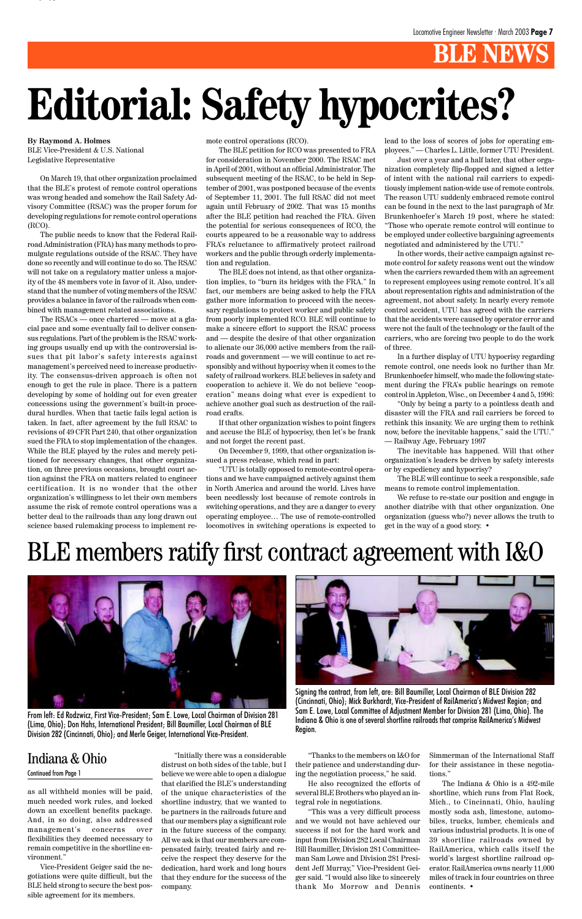## **B** NEW

## BLE members ratify first contract agreement with I&O





From left: Ed Rodzwicz, First Vice-President; Sam E. Lowe, Local Chairman of Division 281 (Lima, Ohio); Don Hahs, International President; Bill Baumiller, Local Chairman of BLE Division 282 (Cincinnati, Ohio); and Merle Geiger, International Vice-President.

Signing the contract, from left, are: Bill Baumiller, Local Chairman of BLE Division 282 (Cincinnati, Ohio); Mick Burkhardt, Vice-President of RailAmerica's Midwest Region; and Sam E. Lowe, Local Committee of Adjustment Member for Division 281 (Lima, Ohio). The Indiana & Ohio is one of several shortline railroads that comprise RailAmerica's Midwest Region.

as all withheld monies will be paid, much needed work rules, and locked down an excellent benefits package. And, in so doing, also addressed management's concerns over flexibilities they deemed necessary to remain competitive in the shortline environment."

Vice-President Geiger said the negotiations were quite difficult, but the BLE held strong to secure the best possible agreement for its members.

"Initially there was a considerable distrust on both sides of the table, but I believe we were able to open a dialogue that clarified the BLE's understanding of the unique characteristics of the shortline industry, that we wanted to be partners in the railroads future and that our members play a significant role in the future success of the company. All we ask is that our members are compensated fairly, treated fairly and receive the respect they deserve for the dedication, hard work and long hours that they endure for the success of the company.

"Thanks to the members on I&O for their patience and understanding during the negotiation process," he said.

He also recognized the efforts of several BLE Brothers who played an integral role in negotiations.

"This was a very difficult process and we would not have achieved our success if not for the hard work and input from Division 282 Local Chairman Bill Baumiller, Division 281 Committeeman Sam Lowe and Division 281 President Jeff Murray," Vice-President Geiger said. "I would also like to sincerely thank Mo Morrow and Dennis Simmerman of the International Staff for their assistance in these negotiations."

The Indiana & Ohio is a 492-mile shortline, which runs from Flat Rock, Mich., to Cincinnati, Ohio, hauling mostly soda ash, limestone, automobiles, trucks, lumber, chemicals and various industrial products. It is one of 39 shortline railroads owned by RailAmerica, which calls itself the world's largest shortline railroad operator. RailAmerica owns nearly 11,000 miles of track in four countries on three continents. •

### Indiana & Ohio

#### Continued from Page 1

**By Raymond A. Holmes** BLE Vice-President & U.S. National Legislative Representative

On March 19, that other organization proclaimed that the BLE's protest of remote control operations was wrong headed and somehow the Rail Safety Advisory Committee (RSAC) was the proper forum for developing regulations for remote control operations (RCO).

The public needs to know that the Federal Railroad Administration (FRA) has many methods to promulgate regulations outside of the RSAC. They have done so recently and will continue to do so. The RSAC will not take on a regulatory matter unless a majority of the 48 members vote in favor of it. Also, understand that the number of voting members of the RSAC provides a balance in favor of the railroads when combined with management related associations.

The RSACs — once chartered — move at a glacial pace and some eventually fail to deliver consensus regulations. Part of the problem is the RSAC working groups usually end up with the controversial issues that pit labor's safety interests against management's perceived need to increase productivity. The consensus-driven approach is often not enough to get the rule in place. There is a pattern developing by some of holding out for even greater concessions using the government's built-in procedural hurdles. When that tactic fails legal action is taken. In fact, after agreement by the full RSAC to revisions of 49 CFR Part 240, that other organization sued the FRA to stop implementation of the changes. While the BLE played by the rules and merely petitioned for necessary changes, that other organization, on three previous occasions, brought court action against the FRA on matters related to engineer certification. It is no wonder that the other organization's willingness to let their own members assume the risk of remote control operations was a better deal to the railroads than any long drawn out science based rulemaking process to implement remote control operations (RCO).

The BLE petition for RCO was presented to FRA for consideration in November 2000. The RSAC met in April of 2001, without an official Administrator. The subsequent meeting of the RSAC, to be held in September of 2001, was postponed because of the events of September 11, 2001. The full RSAC did not meet again until February of 2002. That was 15 months after the BLE petition had reached the FRA. Given the potential for serious consequences of RCO, the courts appeared to be a reasonable way to address FRA's reluctance to affirmatively protect railroad workers and the public through orderly implementation and regulation.

The BLE does not intend, as that other organization implies, to "burn its bridges with the FRA." In fact, our members are being asked to help the FRA gather more information to proceed with the necessary regulations to protect worker and public safety from poorly implemented RCO. BLE will continue to make a sincere effort to support the RSAC process and — despite the desire of that other organization to alienate our 36,000 active members from the railroads and government — we will continue to act responsibly and without hypocrisy when it comes to the safety of railroad workers. BLE believes in safety and cooperation to achieve it. We do not believe "cooperation" means doing what ever is expedient to achieve another goal such as destruction of the railroad crafts.

If that other organization wishes to point fingers and accuse the BLE of hypocrisy, then let's be frank and not forget the recent past.

On December 9, 1999, that other organization issued a press release, which read in part:

"UTU is totally opposed to remote-control operations and we have campaigned actively against them in North America and around the world. Lives have been needlessly lost because of remote controls in switching operations, and they are a danger to every operating employee… The use of remote-controlled locomotives in switching operations is expected to

lead to the loss of scores of jobs for operating employees." — Charles L. Little, former UTU President.

Just over a year and a half later, that other organization completely flip-flopped and signed a letter of intent with the national rail carriers to expeditiously implement nation-wide use of remote controls. The reason UTU suddenly embraced remote control can be found in the next to the last paragraph of Mr. Brunkenhoefer's March 19 post, where he stated: "Those who operate remote control will continue to be employed under collective bargaining agreements negotiated and administered by the UTU."

In other words, their active campaign against remote control for safety reasons went out the window when the carriers rewarded them with an agreement to represent employees using remote control. It's all about representation rights and administration of the agreement, not about safety. In nearly every remote control accident, UTU has agreed with the carriers that the accidents were caused by operator error and were not the fault of the technology or the fault of the carriers, who are forcing two people to do the work of three.

In a further display of UTU hypocrisy regarding remote control, one needs look no further than Mr. Brunkenhoefer himself, who made the following statement during the FRA's public hearings on remote control in Appleton, Wisc., on December 4 and 5, 1996:

"Only by being a party to a pointless death and disaster will the FRA and rail carriers be forced to rethink this insanity. We are urging them to rethink now, before the inevitable happens," said the UTU." — Railway Age, February 1997

The inevitable has happened. Will that other organization's leaders be driven by safety interests or by expediency and hypocrisy?

The BLE will continue to seek a responsible, safe means to remote control implementation.

We refuse to re-state our position and engage in another diatribe with that other organization. One organization (guess who?) never allows the truth to get in the way of a good story. •

y yp

## **Editorial: Safety hypocrites?**